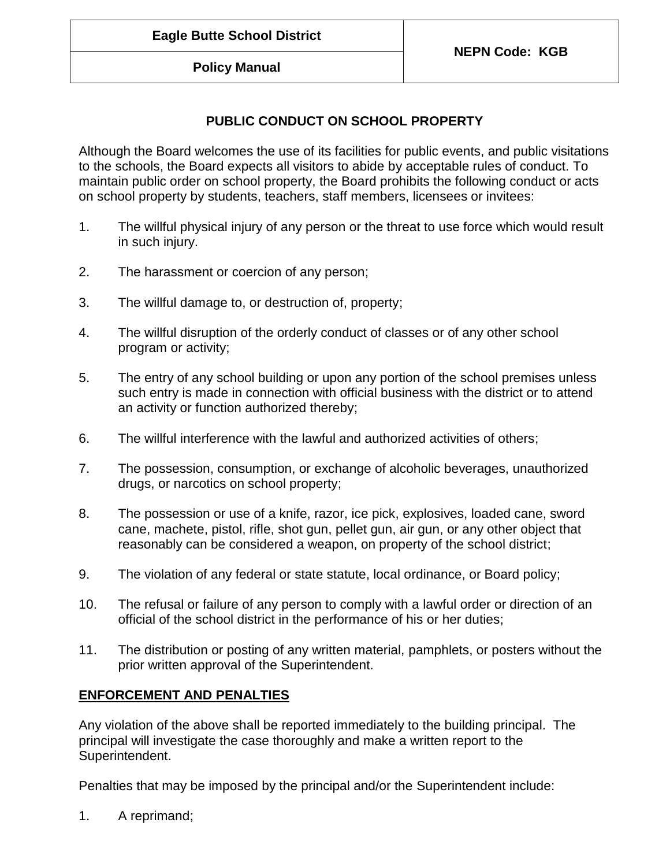**Policy Manual**

## **PUBLIC CONDUCT ON SCHOOL PROPERTY**

Although the Board welcomes the use of its facilities for public events, and public visitations to the schools, the Board expects all visitors to abide by acceptable rules of conduct. To maintain public order on school property, the Board prohibits the following conduct or acts on school property by students, teachers, staff members, licensees or invitees:

- 1. The willful physical injury of any person or the threat to use force which would result in such injury.
- 2. The harassment or coercion of any person;
- 3. The willful damage to, or destruction of, property;
- 4. The willful disruption of the orderly conduct of classes or of any other school program or activity;
- 5. The entry of any school building or upon any portion of the school premises unless such entry is made in connection with official business with the district or to attend an activity or function authorized thereby;
- 6. The willful interference with the lawful and authorized activities of others;
- 7. The possession, consumption, or exchange of alcoholic beverages, unauthorized drugs, or narcotics on school property;
- 8. The possession or use of a knife, razor, ice pick, explosives, loaded cane, sword cane, machete, pistol, rifle, shot gun, pellet gun, air gun, or any other object that reasonably can be considered a weapon, on property of the school district;
- 9. The violation of any federal or state statute, local ordinance, or Board policy;
- 10. The refusal or failure of any person to comply with a lawful order or direction of an official of the school district in the performance of his or her duties;
- 11. The distribution or posting of any written material, pamphlets, or posters without the prior written approval of the Superintendent.

## **ENFORCEMENT AND PENALTIES**

Any violation of the above shall be reported immediately to the building principal. The principal will investigate the case thoroughly and make a written report to the Superintendent.

Penalties that may be imposed by the principal and/or the Superintendent include:

1. A reprimand;